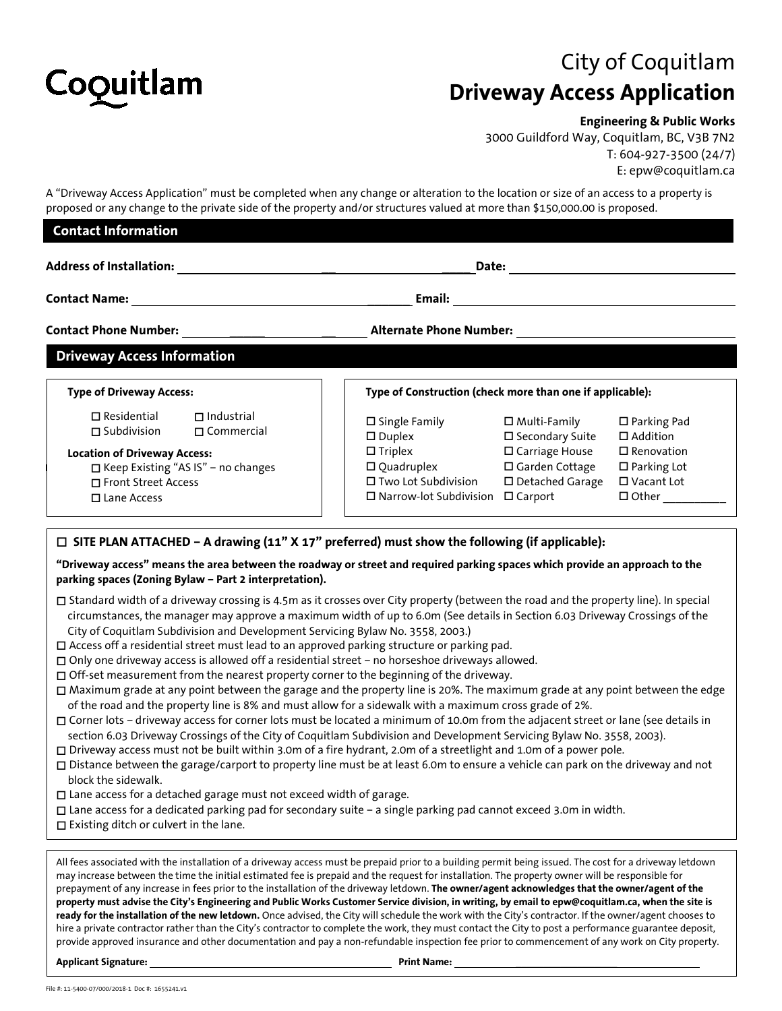

## City of Coquitlam **Driveway Access Application**

## **Engineering & Public Works**

3000 Guildford Way, Coquitlam, BC, V3B 7N2 T: 604-927-3500 (24/7) E: epw@coquitlam.ca

A "Driveway Access Application" must be completed when any change or alteration to the location or size of an access to a property is proposed or any change to the private side of the property and/or structures valued at more than \$150,000.00 is proposed.

| <b>Contact Information</b>                                                                                                                                                                                                                                                                                                                                                                                                                                                                                                                                                                                                                                                                                                                                                                                                                                                                                                                                                                                                                                                                                                                                                      |                                                                                                                                                                      |                                                                                                                  |                                                                                                                      |
|---------------------------------------------------------------------------------------------------------------------------------------------------------------------------------------------------------------------------------------------------------------------------------------------------------------------------------------------------------------------------------------------------------------------------------------------------------------------------------------------------------------------------------------------------------------------------------------------------------------------------------------------------------------------------------------------------------------------------------------------------------------------------------------------------------------------------------------------------------------------------------------------------------------------------------------------------------------------------------------------------------------------------------------------------------------------------------------------------------------------------------------------------------------------------------|----------------------------------------------------------------------------------------------------------------------------------------------------------------------|------------------------------------------------------------------------------------------------------------------|----------------------------------------------------------------------------------------------------------------------|
| Address of Installation: The Contract of League and Address of Installation:<br>Email:<br><u> 1980 - Andrea State Barbara, amerikan personal (h. 1980).</u>                                                                                                                                                                                                                                                                                                                                                                                                                                                                                                                                                                                                                                                                                                                                                                                                                                                                                                                                                                                                                     |                                                                                                                                                                      |                                                                                                                  |                                                                                                                      |
|                                                                                                                                                                                                                                                                                                                                                                                                                                                                                                                                                                                                                                                                                                                                                                                                                                                                                                                                                                                                                                                                                                                                                                                 |                                                                                                                                                                      |                                                                                                                  |                                                                                                                      |
| <b>Driveway Access Information</b>                                                                                                                                                                                                                                                                                                                                                                                                                                                                                                                                                                                                                                                                                                                                                                                                                                                                                                                                                                                                                                                                                                                                              |                                                                                                                                                                      |                                                                                                                  |                                                                                                                      |
| <b>Type of Driveway Access:</b>                                                                                                                                                                                                                                                                                                                                                                                                                                                                                                                                                                                                                                                                                                                                                                                                                                                                                                                                                                                                                                                                                                                                                 | Type of Construction (check more than one if applicable):                                                                                                            |                                                                                                                  |                                                                                                                      |
| $\square$ Residential<br>$\Box$ Industrial<br>$\Box$ Subdivision<br>$\Box$ Commercial<br><b>Location of Driveway Access:</b><br>□ Keep Existing "AS IS" - no changes<br>□ Front Street Access<br>$\square$ Lane Access                                                                                                                                                                                                                                                                                                                                                                                                                                                                                                                                                                                                                                                                                                                                                                                                                                                                                                                                                          | $\square$ Single Family<br>$\square$ Duplex<br>$\Box$ Triplex<br>$\square$ Quadruplex<br>□ Two Lot Subdivision<br>$\square$ Narrow-lot Subdivision $\square$ Carport | $\square$ Multi-Family<br>□ Secondary Suite<br>$\square$ Carriage House<br>□ Garden Cottage<br>□ Detached Garage | $\square$ Parking Pad<br>□ Addition<br>$\square$ Renovation<br>$\square$ Parking Lot<br>□ Vacant Lot<br>$\Box$ Other |
| $\Box$ SITE PLAN ATTACHED – A drawing (11" X 17" preferred) must show the following (if applicable):<br>"Driveway access" means the area between the roadway or street and required parking spaces which provide an approach to the<br>parking spaces (Zoning Bylaw - Part 2 interpretation).                                                                                                                                                                                                                                                                                                                                                                                                                                                                                                                                                                                                                                                                                                                                                                                                                                                                                   |                                                                                                                                                                      |                                                                                                                  |                                                                                                                      |
| □ Standard width of a driveway crossing is 4.5m as it crosses over City property (between the road and the property line). In special<br>circumstances, the manager may approve a maximum width of up to 6.0m (See details in Section 6.03 Driveway Crossings of the<br>City of Coquitlam Subdivision and Development Servicing Bylaw No. 3558, 2003.)<br>□ Access off a residential street must lead to an approved parking structure or parking pad.<br>$\square$ Only one driveway access is allowed off a residential street - no horseshoe driveways allowed.<br>$\Box$ Off-set measurement from the nearest property corner to the beginning of the driveway.<br>□ Maximum grade at any point between the garage and the property line is 20%. The maximum grade at any point between the edge<br>of the road and the property line is 8% and must allow for a sidewalk with a maximum cross grade of 2%.<br>□ Corner lots - driveway access for corner lots must be located a minimum of 10.0m from the adjacent street or lane (see details in<br>section 6.03 Driveway Crossings of the City of Coquitlam Subdivision and Development Servicing Bylaw No. 3558, 2003). |                                                                                                                                                                      |                                                                                                                  |                                                                                                                      |

Driveway access must not be built within 3.0m of a fire hydrant, 2.0m of a streetlight and 1.0m of a power pole.

- Distance between the garage/carport to property line must be at least 6.0m to ensure a vehicle can park on the driveway and not block the sidewalk.
- □ Lane access for a detached garage must not exceed width of garage.
- Lane access for a dedicated parking pad for secondary suite a single parking pad cannot exceed 3.0m in width.
- $\square$  Existing ditch or culvert in the lane.

All fees associated with the installation of a driveway access must be prepaid prior to a building permit being issued. The cost for a driveway letdown may increase between the time the initial estimated fee is prepaid and the request for installation. The property owner will be responsible for prepayment of any increase in fees prior to the installation of the driveway letdown. **The owner/agent acknowledges that the owner/agent of the property must advise the City's Engineering and Public Works Customer Service division, in writing, by email to epw@coquitlam.ca, when the site is ready for the installation of the new letdown.** Once advised, the City will schedule the work with the City's contractor. If the owner/agent chooses to hire a private contractor rather than the City's contractor to complete the work, they must contact the City to post a performance guarantee deposit, provide approved insurance and other documentation and pay a non-refundable inspection fee prior to commencement of any work on City property.

Applicant Signature: **Print Name: Print Name: Print Name: Print Name: Print Name: Print Name: Print Name: Print Name: Print Name: Print Name: Print Name: Print Name: Print Name: Print Name: Prin**